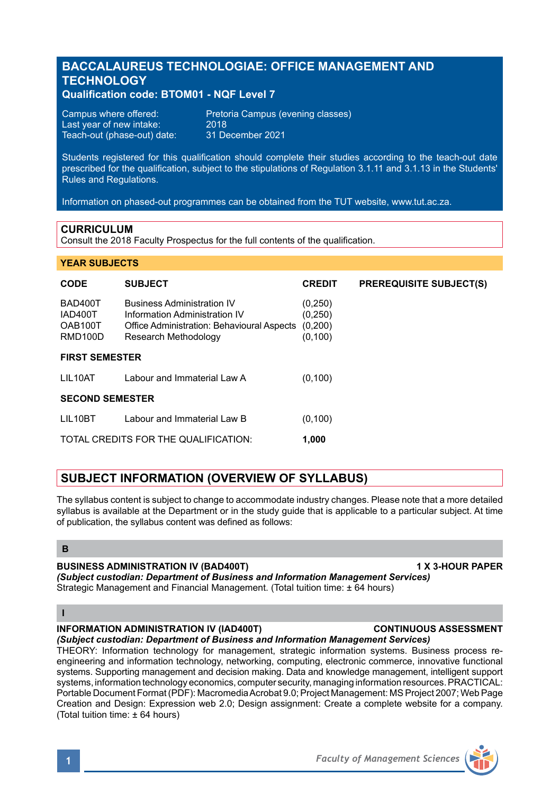# **BACCALAUREUS TECHNOLOGIAE: OFFICE MANAGEMENT AND TECHNOLOGY**

## **Qualification code: BTOM01 - NQF Level 7**

| Campus where offered:       | Pretoria Campus (evening classes) |
|-----------------------------|-----------------------------------|
| Last vear of new intake:    | 2018                              |
| Teach-out (phase-out) date: | 31 December 2021                  |

Students registered for this qualification should complete their studies according to the teach-out date prescribed for the qualification, subject to the stipulations of Regulation 3.1.11 and 3.1.13 in the Students' Rules and Regulations.

Information on phased-out programmes can be obtained from the TUT website, www.tut.ac.za.

#### **CURRICULUM**

Consult the 2018 Faculty Prospectus for the full contents of the qualification.

#### **YEAR SUBJECTS**

| <b>CODE</b>                                           | <b>SUBJECT</b>                                                                                                                           | <b>CREDIT</b>                              | <b>PREREQUISITE SUBJECT(S)</b> |  |
|-------------------------------------------------------|------------------------------------------------------------------------------------------------------------------------------------------|--------------------------------------------|--------------------------------|--|
| BAD400T<br>IAD400T<br>OAB100T<br>RMD <sub>100</sub> D | <b>Business Administration IV</b><br>Information Administration IV<br>Office Administration: Behavioural Aspects<br>Research Methodology | (0,250)<br>(0, 250)<br>(0,200)<br>(0, 100) |                                |  |
| <b>FIRST SEMESTER</b>                                 |                                                                                                                                          |                                            |                                |  |
| LIL10AT                                               | Labour and Immaterial Law A                                                                                                              | (0, 100)                                   |                                |  |
| <b>SECOND SEMESTER</b>                                |                                                                                                                                          |                                            |                                |  |
| LIL10BT                                               | Labour and Immaterial Law B                                                                                                              | (0, 100)                                   |                                |  |
|                                                       | TOTAL CREDITS FOR THE QUALIFICATION:                                                                                                     | 1,000                                      |                                |  |

# **SUBJECT INFORMATION (OVERVIEW OF SYLLABUS)**

The syllabus content is subject to change to accommodate industry changes. Please note that a more detailed syllabus is available at the Department or in the study guide that is applicable to a particular subject. At time of publication, the syllabus content was defined as follows:

#### **B**

#### **BUSINESS ADMINISTRATION IV (BAD400T) 1 X 3-HOUR PAPER**

*(Subject custodian: Department of Business and Information Management Services)* Strategic Management and Financial Management. (Total tuition time: ± 64 hours)

#### **I**

## **INFORMATION ADMINISTRATION lV (IAD400T) CONTINUOUS ASSESSMENT**

*(Subject custodian: Department of Business and Information Management Services)*

THEORY: Information technology for management, strategic information systems. Business process reengineering and information technology, networking, computing, electronic commerce, innovative functional systems. Supporting management and decision making. Data and knowledge management, intelligent support systems, information technology economics, computer security, managing information resources. PRACTICAL: Portable Document Format (PDF): Macromedia Acrobat 9.0; Project Management: MS Project 2007; Web Page Creation and Design: Expression web 2.0; Design assignment: Create a complete website for a company. (Total tuition time: ± 64 hours)